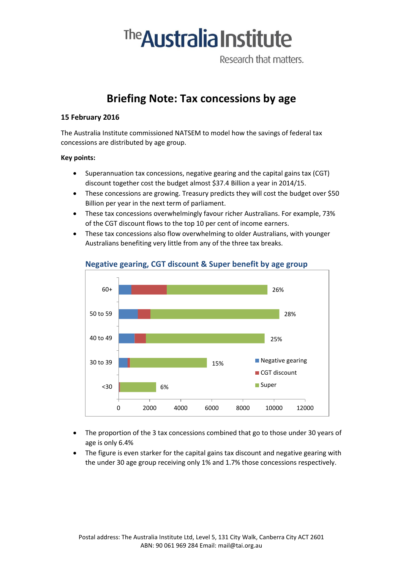# <sup>The</sup> Australia Institute

Research that matters.

# **Briefing Note: Tax concessions by age**

#### **15 February 2016**

The Australia Institute commissioned NATSEM to model how the savings of federal tax concessions are distributed by age group.

#### **Key points:**

- Superannuation tax concessions, negative gearing and the capital gains tax (CGT) discount together cost the budget almost \$37.4 Billion a year in 2014/15.
- These concessions are growing. Treasury predicts they will cost the budget over \$50 Billion per year in the next term of parliament.
- These tax concessions overwhelmingly favour richer Australians. For example, 73% of the CGT discount flows to the top 10 per cent of income earners.
- These tax concessions also flow overwhelming to older Australians, with younger Australians benefiting very little from any of the three tax breaks.



## **Negative gearing, CGT discount & Super benefit by age group**

- The proportion of the 3 tax concessions combined that go to those under 30 years of age is only 6.4%
- The figure is even starker for the capital gains tax discount and negative gearing with the under 30 age group receiving only 1% and 1.7% those concessions respectively.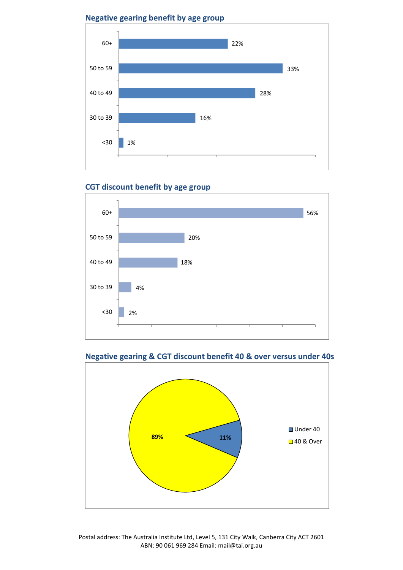**Negative gearing benefit by age group**



# **CGT discount benefit by age group**







Postal address: The Australia Institute Ltd, Level 5, 131 City Walk, Canberra City ACT 2601 ABN: 90 061 969 284 Email: mail@tai.org.au